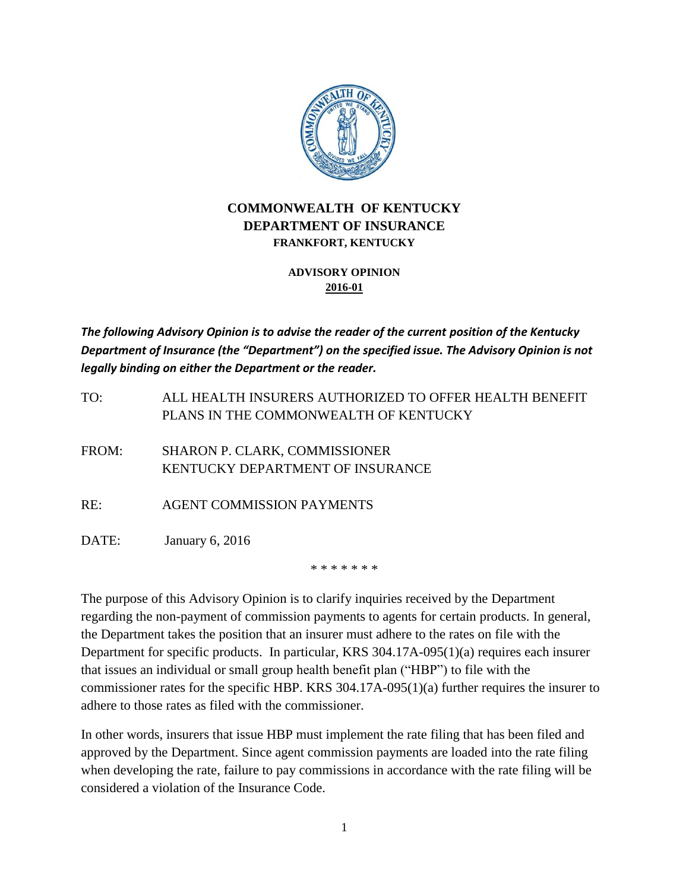

## **COMMONWEALTH OF KENTUCKY DEPARTMENT OF INSURANCE FRANKFORT, KENTUCKY**

## **ADVISORY OPINION 2016-01**

*The following Advisory Opinion is to advise the reader of the current position of the Kentucky Department of Insurance (the "Department") on the specified issue. The Advisory Opinion is not legally binding on either the Department or the reader.*

TO: ALL HEALTH INSURERS AUTHORIZED TO OFFER HEALTH BENEFIT PLANS IN THE COMMONWEALTH OF KENTUCKY

FROM: SHARON P. CLARK, COMMISSIONER KENTUCKY DEPARTMENT OF INSURANCE

RE: AGENT COMMISSION PAYMENTS

DATE: January 6, 2016

\* \* \* \* \* \* \*

The purpose of this Advisory Opinion is to clarify inquiries received by the Department regarding the non-payment of commission payments to agents for certain products. In general, the Department takes the position that an insurer must adhere to the rates on file with the Department for specific products. In particular, KRS 304.17A-095(1)(a) requires each insurer that issues an individual or small group health benefit plan ("HBP") to file with the commissioner rates for the specific HBP. KRS 304.17A-095(1)(a) further requires the insurer to adhere to those rates as filed with the commissioner.

In other words, insurers that issue HBP must implement the rate filing that has been filed and approved by the Department. Since agent commission payments are loaded into the rate filing when developing the rate, failure to pay commissions in accordance with the rate filing will be considered a violation of the Insurance Code.